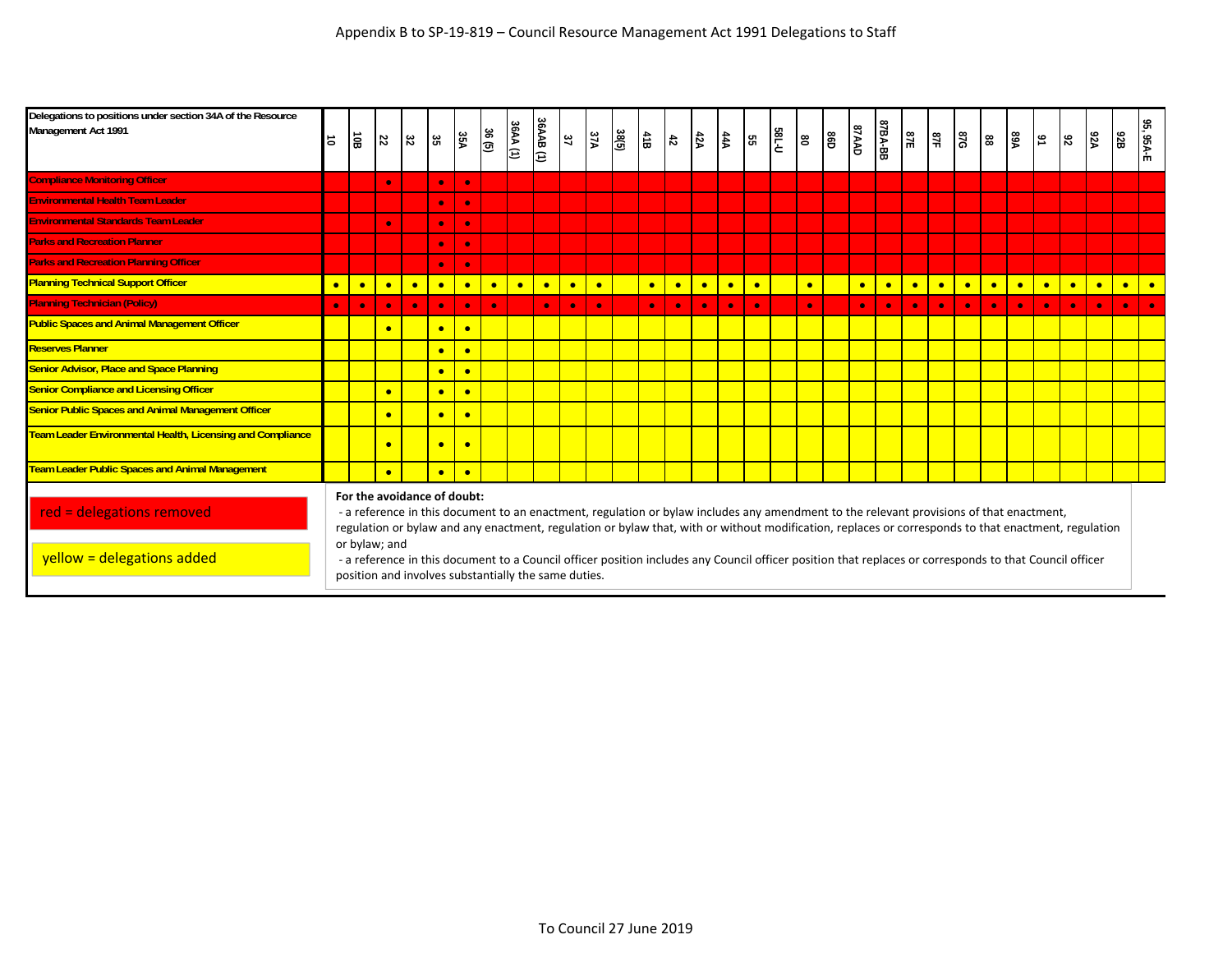| Delegations to positions under section 34A of the Resource<br>Management Act 1991 | $\vec{a}$ | $\overline{10B}$                             | 22        | $\boldsymbol{z}$ | 35        | 35A       | 36(5)     | 36AA (1)  | 36AAB (1)                                            | $\mathfrak{Z}7$ | 37A       | 38(5) | $\frac{4}{16}$ | $\frac{4}{5}$ | 42A       | $rac{44A}{2}$ | 55        | <b>185-U</b> | 80        | 86D | <b>GAAD</b> | 87BA-BB   | 87E       | $\frac{3}{16}$ | <b>87G</b>                                                                                                                                                                                                                                                                                                                                                                                                                                                  | 88        | <b>AR</b> | $\mathfrak{g}_1$ | $\mathfrak{d}2$ | <b>A2A</b> | 92B       | 95, 95A-E |
|-----------------------------------------------------------------------------------|-----------|----------------------------------------------|-----------|------------------|-----------|-----------|-----------|-----------|------------------------------------------------------|-----------------|-----------|-------|----------------|---------------|-----------|---------------|-----------|--------------|-----------|-----|-------------|-----------|-----------|----------------|-------------------------------------------------------------------------------------------------------------------------------------------------------------------------------------------------------------------------------------------------------------------------------------------------------------------------------------------------------------------------------------------------------------------------------------------------------------|-----------|-----------|------------------|-----------------|------------|-----------|-----------|
| <b>Compliance Monitoring Officer</b>                                              |           |                                              | $\bullet$ |                  | $\bullet$ | $\bullet$ |           |           |                                                      |                 |           |       |                |               |           |               |           |              |           |     |             |           |           |                |                                                                                                                                                                                                                                                                                                                                                                                                                                                             |           |           |                  |                 |            |           |           |
| <b>Environmental Health Team Leader</b>                                           |           |                                              |           |                  | $\bullet$ | $\bullet$ |           |           |                                                      |                 |           |       |                |               |           |               |           |              |           |     |             |           |           |                |                                                                                                                                                                                                                                                                                                                                                                                                                                                             |           |           |                  |                 |            |           |           |
| <b>Environmental Standards Team Leader</b>                                        |           |                                              | $\bullet$ |                  | $\bullet$ | $\bullet$ |           |           |                                                      |                 |           |       |                |               |           |               |           |              |           |     |             |           |           |                |                                                                                                                                                                                                                                                                                                                                                                                                                                                             |           |           |                  |                 |            |           |           |
| <b>Parks and Recreation Planner</b>                                               |           |                                              |           |                  | $\bullet$ | <b>C</b>  |           |           |                                                      |                 |           |       |                |               |           |               |           |              |           |     |             |           |           |                |                                                                                                                                                                                                                                                                                                                                                                                                                                                             |           |           |                  |                 |            |           |           |
| <b>Parks and Recreation Planning Officer</b>                                      |           |                                              |           |                  | $\bullet$ | $\bullet$ |           |           |                                                      |                 |           |       |                |               |           |               |           |              |           |     |             |           |           |                |                                                                                                                                                                                                                                                                                                                                                                                                                                                             |           |           |                  |                 |            |           |           |
| <b>Planning Technical Support Officer</b>                                         | $\bullet$ | $\bullet$                                    | $\bullet$ | $\bullet$        | $\bullet$ | $\bullet$ | $\bullet$ | $\bullet$ | $\bullet$                                            | $\bullet$       | $\bullet$ |       | $\bullet$      | $\bullet$     | $\bullet$ | $\bullet$     | $\bullet$ |              | $\bullet$ |     | $\bullet$   | $\bullet$ | $\bullet$ | $\bullet$      | $\bullet$                                                                                                                                                                                                                                                                                                                                                                                                                                                   | $\bullet$ | $\bullet$ | $\bullet$        | $\bullet$       | $\bullet$  | $\bullet$ | $\bullet$ |
| <b>Planning Technician (Policy)</b>                                               | $\bullet$ | $\bullet$                                    | $\bullet$ | $\bullet$        | $\bullet$ | $\bullet$ | $\bullet$ |           | $\bullet$                                            | $\bullet$       | $\bullet$ |       | $\bullet$      | $\bullet$     | $\bullet$ | $\bullet$     | $\bullet$ |              | $\bullet$ |     | $\bullet$   | $\bullet$ | $\bullet$ | $\bullet$      | $\bullet$                                                                                                                                                                                                                                                                                                                                                                                                                                                   | $\bullet$ | $\bullet$ | $\bullet$        | $\bullet$       | $\bullet$  | $\bullet$ | $\bullet$ |
| <b>Public Spaces and Animal Management Officer</b>                                |           |                                              | $\bullet$ |                  | $\bullet$ | $\bullet$ |           |           |                                                      |                 |           |       |                |               |           |               |           |              |           |     |             |           |           |                |                                                                                                                                                                                                                                                                                                                                                                                                                                                             |           |           |                  |                 |            |           |           |
| <b>Reserves Planner</b>                                                           |           |                                              |           |                  | $\bullet$ | $\bullet$ |           |           |                                                      |                 |           |       |                |               |           |               |           |              |           |     |             |           |           |                |                                                                                                                                                                                                                                                                                                                                                                                                                                                             |           |           |                  |                 |            |           |           |
| <b>Senior Advisor, Place and Space Planning</b>                                   |           |                                              |           |                  | $\bullet$ | $\bullet$ |           |           |                                                      |                 |           |       |                |               |           |               |           |              |           |     |             |           |           |                |                                                                                                                                                                                                                                                                                                                                                                                                                                                             |           |           |                  |                 |            |           |           |
| <b>Senior Compliance and Licensing Officer</b>                                    |           |                                              | $\bullet$ |                  | $\bullet$ | $\bullet$ |           |           |                                                      |                 |           |       |                |               |           |               |           |              |           |     |             |           |           |                |                                                                                                                                                                                                                                                                                                                                                                                                                                                             |           |           |                  |                 |            |           |           |
| <b>Senior Public Spaces and Animal Management Officer</b>                         |           |                                              | $\bullet$ |                  | $\bullet$ | $\bullet$ |           |           |                                                      |                 |           |       |                |               |           |               |           |              |           |     |             |           |           |                |                                                                                                                                                                                                                                                                                                                                                                                                                                                             |           |           |                  |                 |            |           |           |
| Team Leader Environmental Health, Licensing and Compliance                        |           |                                              | $\bullet$ |                  | $\bullet$ | $\bullet$ |           |           |                                                      |                 |           |       |                |               |           |               |           |              |           |     |             |           |           |                |                                                                                                                                                                                                                                                                                                                                                                                                                                                             |           |           |                  |                 |            |           |           |
| <b>Team Leader Public Spaces and Animal Management</b>                            |           |                                              | $\bullet$ |                  | $\bullet$ | <b>e</b>  |           |           |                                                      |                 |           |       |                |               |           |               |           |              |           |     |             |           |           |                |                                                                                                                                                                                                                                                                                                                                                                                                                                                             |           |           |                  |                 |            |           |           |
| red = delegations removed<br>yellow = delegations added                           |           | For the avoidance of doubt:<br>or bylaw; and |           |                  |           |           |           |           |                                                      |                 |           |       |                |               |           |               |           |              |           |     |             |           |           |                | - a reference in this document to an enactment, regulation or bylaw includes any amendment to the relevant provisions of that enactment,<br>regulation or bylaw and any enactment, regulation or bylaw that, with or without modification, replaces or corresponds to that enactment, regulation<br>- a reference in this document to a Council officer position includes any Council officer position that replaces or corresponds to that Council officer |           |           |                  |                 |            |           |           |
|                                                                                   |           |                                              |           |                  |           |           |           |           | position and involves substantially the same duties. |                 |           |       |                |               |           |               |           |              |           |     |             |           |           |                |                                                                                                                                                                                                                                                                                                                                                                                                                                                             |           |           |                  |                 |            |           |           |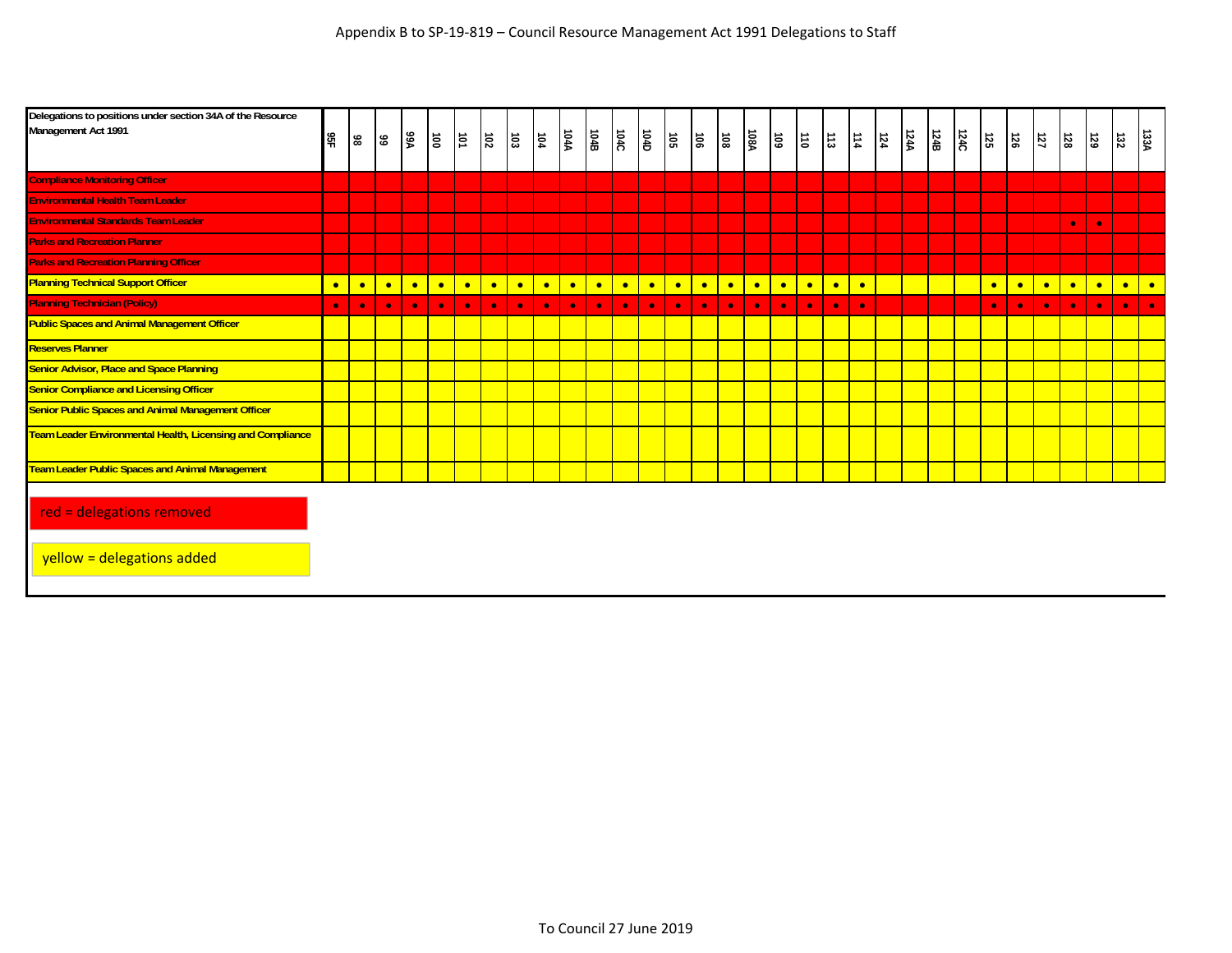| Delegations to positions under section 34A of the Resource<br>Management Act 1991 | 95F       | 98        | $99$      | <b>A9A</b> | $\overline{\mathsf{B}}$ | $\vert \vec{v} \vert$ | ន្ត       | ່ຣ        | $\overrightarrow{5}$ | <b>104A</b> | 104B      | 104C      | 104D      | នៃ        | $\overline{\mathsf{B}}$ | l<br>Si   | <b>108A</b> | 5         | $ \vec{a} $ | 113       | 114       | 124 | 124A | 124B | 124C | $\overline{55}$ | $\overline{56}$ | 151       | $\overline{8}$ | 53        | $\overline{z}$ | 133A      |
|-----------------------------------------------------------------------------------|-----------|-----------|-----------|------------|-------------------------|-----------------------|-----------|-----------|----------------------|-------------|-----------|-----------|-----------|-----------|-------------------------|-----------|-------------|-----------|-------------|-----------|-----------|-----|------|------|------|-----------------|-----------------|-----------|----------------|-----------|----------------|-----------|
| <b>Compliance Monitoring Officer</b>                                              |           |           |           |            |                         |                       |           |           |                      |             |           |           |           |           |                         |           |             |           |             |           |           |     |      |      |      |                 |                 |           |                |           |                |           |
| <b>Environmental Health Team Leader</b>                                           |           |           |           |            |                         |                       |           |           |                      |             |           |           |           |           |                         |           |             |           |             |           |           |     |      |      |      |                 |                 |           |                |           |                |           |
| <b>Environmental Standards Team Leader</b>                                        |           |           |           |            |                         |                       |           |           |                      |             |           |           |           |           |                         |           |             |           |             |           |           |     |      |      |      |                 |                 |           | $\bullet$      | $\bullet$ |                |           |
| <b>Parks and Recreation Planner</b>                                               |           |           |           |            |                         |                       |           |           |                      |             |           |           |           |           |                         |           |             |           |             |           |           |     |      |      |      |                 |                 |           |                |           |                |           |
| <b>Parks and Recreation Planning Officer</b>                                      |           |           |           |            |                         |                       |           |           |                      |             |           |           |           |           |                         |           |             |           |             |           |           |     |      |      |      |                 |                 |           |                |           |                |           |
| <b>Planning Technical Support Officer</b>                                         | $\bullet$ | $\bullet$ | $\bullet$ | $\bullet$  | $\bullet$               | $\bullet$             | $\bullet$ | $\bullet$ | $\bullet$            | $\bullet$   | $\bullet$ | $\bullet$ | $\bullet$ | $\bullet$ | $\bullet$               | $\bullet$ | $\bullet$   | $\bullet$ | $\bullet$   | $\bullet$ | $\bullet$ |     |      |      |      | $\bullet$       | $\bullet$       | $\bullet$ | $\bullet$      | $\bullet$ | $\bullet$      | $\bullet$ |
| <b>Planning Technician (Policy)</b>                                               | $\bullet$ | $\bullet$ | $\bullet$ | $\bullet$  | $\bullet$               | $\bullet$             | $\bullet$ | $\bullet$ | $\bullet$            | $\bullet$   | $\bullet$ | $\bullet$ | $\bullet$ | $\bullet$ | $\bullet$               | $\bullet$ | $\bullet$   | $\bullet$ | $\bullet$   | $\bullet$ | $\bullet$ |     |      |      |      | $\bullet$       | $\bullet$       | $\bullet$ | $\bullet$      | $\bullet$ | $\bullet$      | $\bullet$ |
| <b>Public Spaces and Animal Management Officer</b>                                |           |           |           |            |                         |                       |           |           |                      |             |           |           |           |           |                         |           |             |           |             |           |           |     |      |      |      |                 |                 |           |                |           |                |           |
| <b>Reserves Planner</b>                                                           |           |           |           |            |                         |                       |           |           |                      |             |           |           |           |           |                         |           |             |           |             |           |           |     |      |      |      |                 |                 |           |                |           |                |           |
| <b>Senior Advisor, Place and Space Planning</b>                                   |           |           |           |            |                         |                       |           |           |                      |             |           |           |           |           |                         |           |             |           |             |           |           |     |      |      |      |                 |                 |           |                |           |                |           |
| <b>Senior Compliance and Licensing Officer</b>                                    |           |           |           |            |                         |                       |           |           |                      |             |           |           |           |           |                         |           |             |           |             |           |           |     |      |      |      |                 |                 |           |                |           |                |           |
| <b>Senior Public Spaces and Animal Management Officer</b>                         |           |           |           |            |                         |                       |           |           |                      |             |           |           |           |           |                         |           |             |           |             |           |           |     |      |      |      |                 |                 |           |                |           |                |           |
| <b>Team Leader Environmental Health, Licensing and Compliance</b>                 |           |           |           |            |                         |                       |           |           |                      |             |           |           |           |           |                         |           |             |           |             |           |           |     |      |      |      |                 |                 |           |                |           |                |           |
| <b>Team Leader Public Spaces and Animal Management</b>                            |           |           |           |            |                         |                       |           |           |                      |             |           |           |           |           |                         |           |             |           |             |           |           |     |      |      |      |                 |                 |           |                |           |                |           |
| red = delegations removed                                                         |           |           |           |            |                         |                       |           |           |                      |             |           |           |           |           |                         |           |             |           |             |           |           |     |      |      |      |                 |                 |           |                |           |                |           |

yellow = delegations added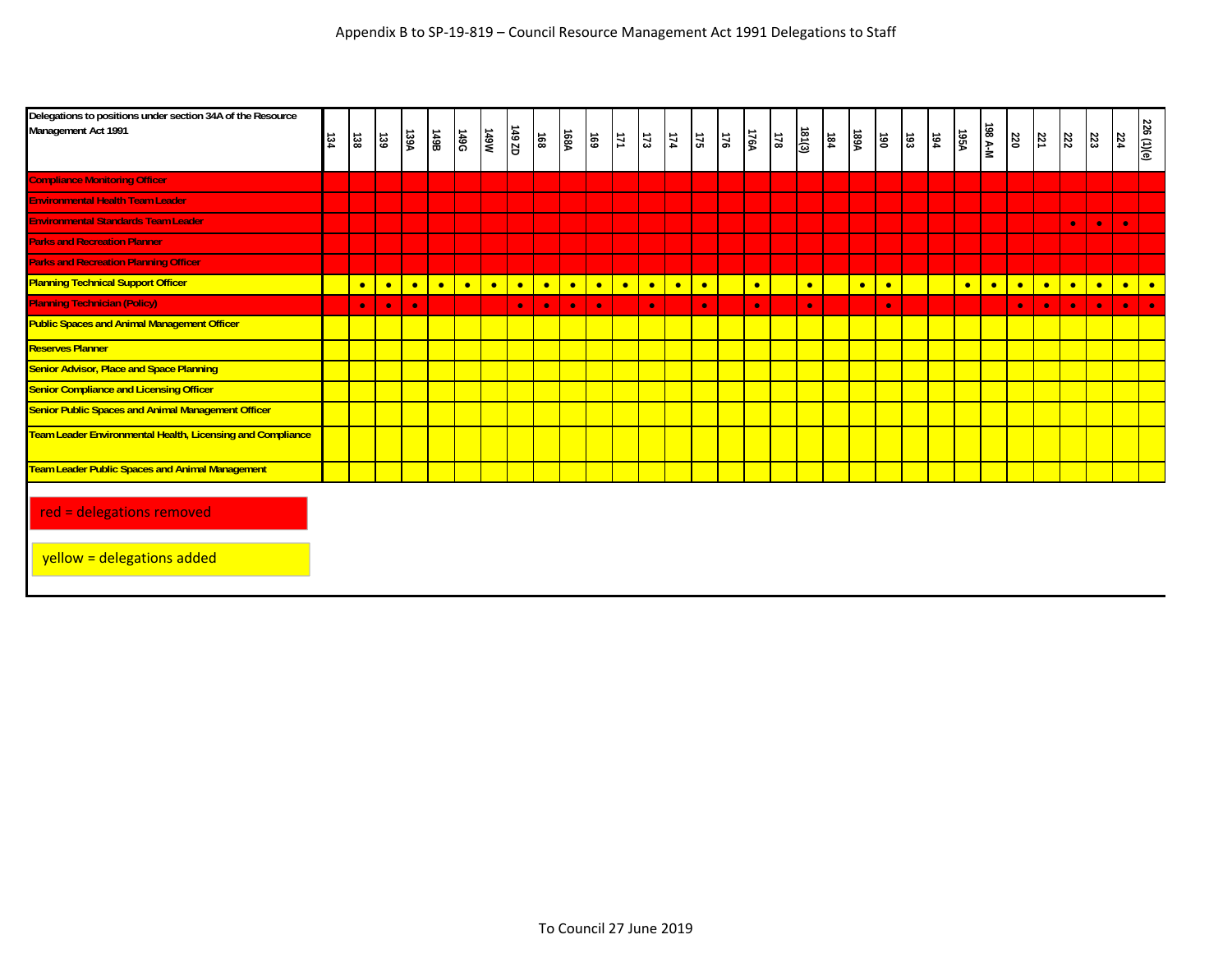| Delegations to positions under section 34A of the Resource<br>Management Act 1991 | 134 | 138       | 139       | 139A      | 86t       | <b>149G</b> | M6tL      | 149 ZD    | 168       | 168A      | 691       | $\overline{\overline{11}}$ | $\overline{173}$ | $\frac{17}{4}$ | $175\,$   | $\overline{z}$ | 176A      | $\overline{3}$ | 181(3)    | 184 | <b>A99A</b> | <b>06L</b> | $\overline{33}$ | $\frac{194}{194}$ | <b>A361</b> | 198 A-M   | $\overline{\omega}$ | $\mathbb{Z}$ | 222       | 223       | 224       | 226 (1)(e) |
|-----------------------------------------------------------------------------------|-----|-----------|-----------|-----------|-----------|-------------|-----------|-----------|-----------|-----------|-----------|----------------------------|------------------|----------------|-----------|----------------|-----------|----------------|-----------|-----|-------------|------------|-----------------|-------------------|-------------|-----------|---------------------|--------------|-----------|-----------|-----------|------------|
| <b>Compliance Monitoring Officer</b>                                              |     |           |           |           |           |             |           |           |           |           |           |                            |                  |                |           |                |           |                |           |     |             |            |                 |                   |             |           |                     |              |           |           |           |            |
| <b>Environmental Health Team Leader</b>                                           |     |           |           |           |           |             |           |           |           |           |           |                            |                  |                |           |                |           |                |           |     |             |            |                 |                   |             |           |                     |              |           |           |           |            |
| <b>Environmental Standards Team Leader</b>                                        |     |           |           |           |           |             |           |           |           |           |           |                            |                  |                |           |                |           |                |           |     |             |            |                 |                   |             |           |                     |              | $\bullet$ | $\bullet$ | $\bullet$ |            |
| <b>Parks and Recreation Planner</b>                                               |     |           |           |           |           |             |           |           |           |           |           |                            |                  |                |           |                |           |                |           |     |             |            |                 |                   |             |           |                     |              |           |           |           |            |
| <b>Parks and Recreation Planning Officer</b>                                      |     |           |           |           |           |             |           |           |           |           |           |                            |                  |                |           |                |           |                |           |     |             |            |                 |                   |             |           |                     |              |           |           |           |            |
| <b>Planning Technical Support Officer</b>                                         |     | $\bullet$ | $\bullet$ | $\bullet$ | $\bullet$ | $\bullet$   | $\bullet$ | $\bullet$ | $\bullet$ | $\bullet$ | $\bullet$ | $\bullet$                  | $\bullet$        | $\bullet$      | $\bullet$ |                | $\bullet$ |                | $\bullet$ |     | $\bullet$   | $\bullet$  |                 |                   | $\bullet$   | $\bullet$ | $\bullet$           | $\bullet$    | $\bullet$ | $\bullet$ | $\bullet$ | $\bullet$  |
| <b>Planning Technician (Policy)</b>                                               |     | $\bullet$ | $\bullet$ | $\bullet$ |           |             |           | $\bullet$ | $\bullet$ | $\bullet$ | $\bullet$ |                            | $\bullet$        |                | $\bullet$ |                | $\bullet$ |                | $\bullet$ |     |             | $\bullet$  |                 |                   |             |           | $\bullet$           | $\bullet$    | $\bullet$ | $\bullet$ | $\bullet$ | $\bullet$  |
| <b>Public Spaces and Animal Management Officer</b>                                |     |           |           |           |           |             |           |           |           |           |           |                            |                  |                |           |                |           |                |           |     |             |            |                 |                   |             |           |                     |              |           |           |           |            |
| <b>Reserves Planner</b>                                                           |     |           |           |           |           |             |           |           |           |           |           |                            |                  |                |           |                |           |                |           |     |             |            |                 |                   |             |           |                     |              |           |           |           |            |
| <b>Senior Advisor, Place and Space Planning</b>                                   |     |           |           |           |           |             |           |           |           |           |           |                            |                  |                |           |                |           |                |           |     |             |            |                 |                   |             |           |                     |              |           |           |           |            |
| <b>Senior Compliance and Licensing Officer</b>                                    |     |           |           |           |           |             |           |           |           |           |           |                            |                  |                |           |                |           |                |           |     |             |            |                 |                   |             |           |                     |              |           |           |           |            |
| <b>Senior Public Spaces and Animal Management Officer</b>                         |     |           |           |           |           |             |           |           |           |           |           |                            |                  |                |           |                |           |                |           |     |             |            |                 |                   |             |           |                     |              |           |           |           |            |
| <b>Team Leader Environmental Health, Licensing and Compliance</b>                 |     |           |           |           |           |             |           |           |           |           |           |                            |                  |                |           |                |           |                |           |     |             |            |                 |                   |             |           |                     |              |           |           |           |            |
| <b>Team Leader Public Spaces and Animal Management</b>                            |     |           |           |           |           |             |           |           |           |           |           |                            |                  |                |           |                |           |                |           |     |             |            |                 |                   |             |           |                     |              |           |           |           |            |
| red = delegations removed                                                         |     |           |           |           |           |             |           |           |           |           |           |                            |                  |                |           |                |           |                |           |     |             |            |                 |                   |             |           |                     |              |           |           |           |            |

yellow = delegations added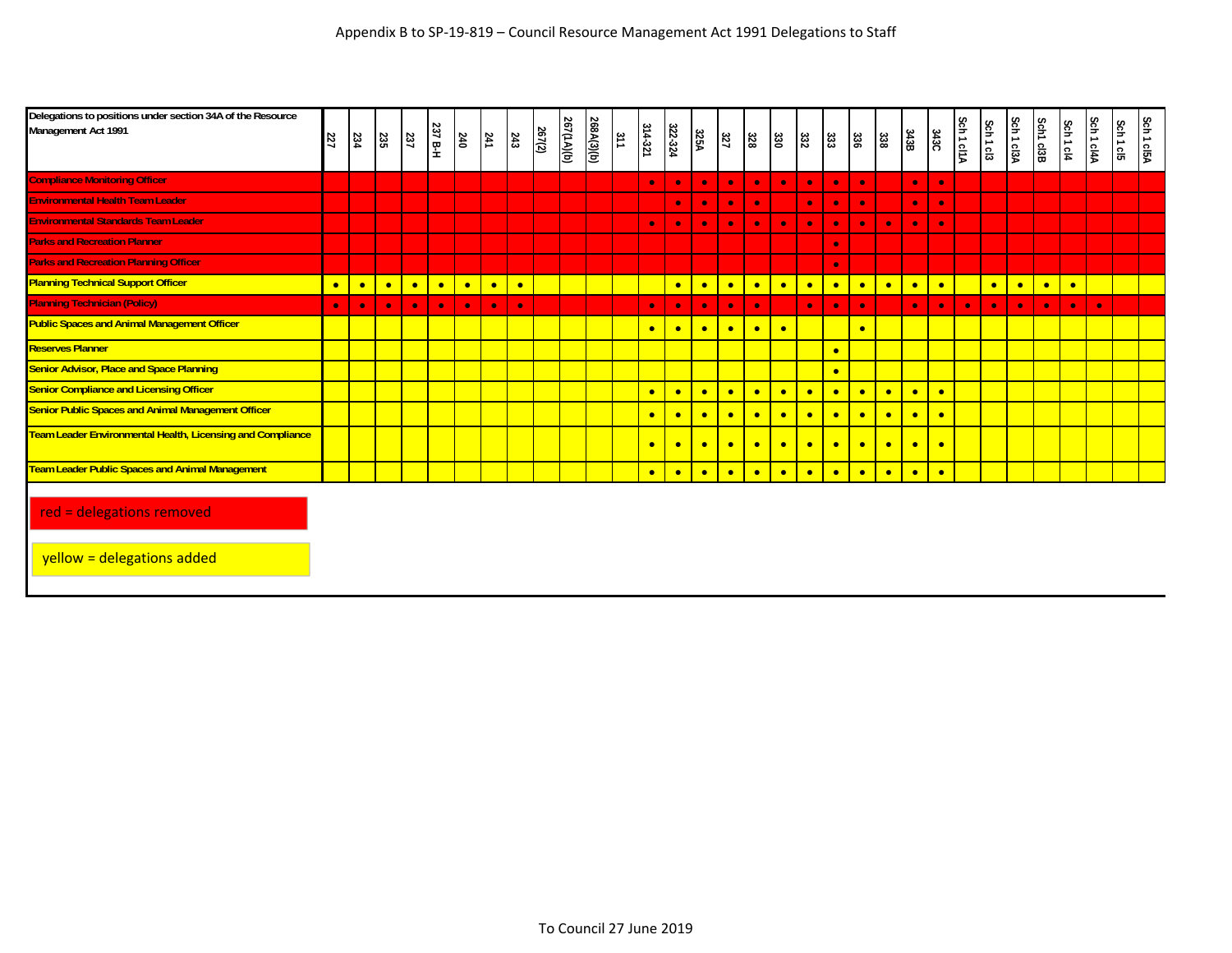| Delegations to positions under section 34A of the Resource<br>Management Act 1991 | 227       | 234       | 235       | 237       | 237 B-H   | 240       | $\frac{241}{2}$ | 243       | 267(2) | 267(1A)(b) | 268A(3)(b) | $rac{31}{2}$ | 314-321   | 322-324   | 325A      | 327       | 328       | ន្ល       | 332       | 333       | នៃ        | 338       | 343B      | 343C      | Sch 1 cl1A | Sch1cl3   | Sch 1 cl3A | Sch1 cl3B | Sch 1 cl4 | Sch 1 cl4A | Sch 1 cl5 | Sch 1 cl5A |
|-----------------------------------------------------------------------------------|-----------|-----------|-----------|-----------|-----------|-----------|-----------------|-----------|--------|------------|------------|--------------|-----------|-----------|-----------|-----------|-----------|-----------|-----------|-----------|-----------|-----------|-----------|-----------|------------|-----------|------------|-----------|-----------|------------|-----------|------------|
| <b>Compliance Monitoring Officer</b>                                              |           |           |           |           |           |           |                 |           |        |            |            |              | $\bullet$ | $\bullet$ | $\bullet$ | $\bullet$ | $\bullet$ | $\bullet$ | $\bullet$ | $\bullet$ | $\bullet$ |           | $\bullet$ | $\bullet$ |            |           |            |           |           |            |           |            |
| <b>Environmental Health Team Leader</b>                                           |           |           |           |           |           |           |                 |           |        |            |            |              |           | $\bullet$ | $\bullet$ | $\bullet$ | $\bullet$ |           | $\bullet$ | $\bullet$ | $\bullet$ |           | $\bullet$ | $\bullet$ |            |           |            |           |           |            |           |            |
| <b>Environmental Standards Team Leader</b>                                        |           |           |           |           |           |           |                 |           |        |            |            |              | $\bullet$ | $\bullet$ | $\bullet$ | $\bullet$ | $\bullet$ | $\bullet$ | $\bullet$ | $\bullet$ | $\bullet$ | $\bullet$ | $\bullet$ | $\bullet$ |            |           |            |           |           |            |           |            |
| <b>Parks and Recreation Planner</b>                                               |           |           |           |           |           |           |                 |           |        |            |            |              |           |           |           |           |           |           |           | $\bullet$ |           |           |           |           |            |           |            |           |           |            |           |            |
| <b>Parks and Recreation Planning Officer</b>                                      |           |           |           |           |           |           |                 |           |        |            |            |              |           |           |           |           |           |           |           | $\bullet$ |           |           |           |           |            |           |            |           |           |            |           |            |
| <b>Planning Technical Support Officer</b>                                         | $\bullet$ | $\bullet$ | $\bullet$ | $\bullet$ | $\bullet$ | $\bullet$ | $\bullet$       | $\bullet$ |        |            |            |              |           | $\bullet$ | $\bullet$ | $\bullet$ | $\bullet$ | $\bullet$ | $\bullet$ | $\bullet$ | $\bullet$ | $\bullet$ | $\bullet$ | $\bullet$ |            | $\bullet$ | $\bullet$  | $\bullet$ | $\bullet$ |            |           |            |
| <b>Planning Technician (Policy)</b>                                               | $\bullet$ | $\bullet$ | $\bullet$ | $\bullet$ | $\bullet$ | $\bullet$ | $\bullet$       | $\bullet$ |        |            |            |              | $\bullet$ | $\bullet$ | $\bullet$ | $\bullet$ | $\bullet$ |           | $\bullet$ | $\bullet$ | $\bullet$ |           | $\bullet$ | $\bullet$ | $\bullet$  | $\bullet$ | $\bullet$  | $\bullet$ | $\bullet$ | $\bullet$  |           |            |
| <b>Public Spaces and Animal Management Officer</b>                                |           |           |           |           |           |           |                 |           |        |            |            |              | $\bullet$ | $\bullet$ | $\bullet$ | $\bullet$ | $\bullet$ | $\bullet$ |           |           | $\bullet$ |           |           |           |            |           |            |           |           |            |           |            |
| <b>Reserves Planner</b>                                                           |           |           |           |           |           |           |                 |           |        |            |            |              |           |           |           |           |           |           |           | $\bullet$ |           |           |           |           |            |           |            |           |           |            |           |            |
| <b>Senior Advisor, Place and Space Planning</b>                                   |           |           |           |           |           |           |                 |           |        |            |            |              |           |           |           |           |           |           |           | $\bullet$ |           |           |           |           |            |           |            |           |           |            |           |            |
| <b>Senior Compliance and Licensing Officer</b>                                    |           |           |           |           |           |           |                 |           |        |            |            |              | $\bullet$ | $\bullet$ | $\bullet$ | $\bullet$ | $\bullet$ | $\bullet$ | $\bullet$ | $\bullet$ | $\bullet$ | $\bullet$ | $\bullet$ | $\bullet$ |            |           |            |           |           |            |           |            |
| <b>Senior Public Spaces and Animal Management Officer</b>                         |           |           |           |           |           |           |                 |           |        |            |            |              | $\bullet$ | $\bullet$ | $\bullet$ | $\bullet$ | $\bullet$ | $\bullet$ | $\bullet$ | $\bullet$ | $\bullet$ | $\bullet$ | $\bullet$ | $\bullet$ |            |           |            |           |           |            |           |            |
| Team Leader Environmental Health, Licensing and Compliance                        |           |           |           |           |           |           |                 |           |        |            |            |              | $\bullet$ | $\bullet$ | $\bullet$ | $\bullet$ | $\bullet$ | $\bullet$ | $\bullet$ | $\bullet$ | $\bullet$ | $\bullet$ | $\bullet$ | $\bullet$ |            |           |            |           |           |            |           |            |
| Team Leader Public Spaces and Animal Management                                   |           |           |           |           |           |           |                 |           |        |            |            |              | $\bullet$ | $\bullet$ | $\bullet$ | $\bullet$ | $\bullet$ | $\bullet$ | $\bullet$ | $\bullet$ | $\bullet$ | $\bullet$ | $\bullet$ | $\bullet$ |            |           |            |           |           |            |           |            |
| red = delegations removed                                                         |           |           |           |           |           |           |                 |           |        |            |            |              |           |           |           |           |           |           |           |           |           |           |           |           |            |           |            |           |           |            |           |            |

yellow = delegations added